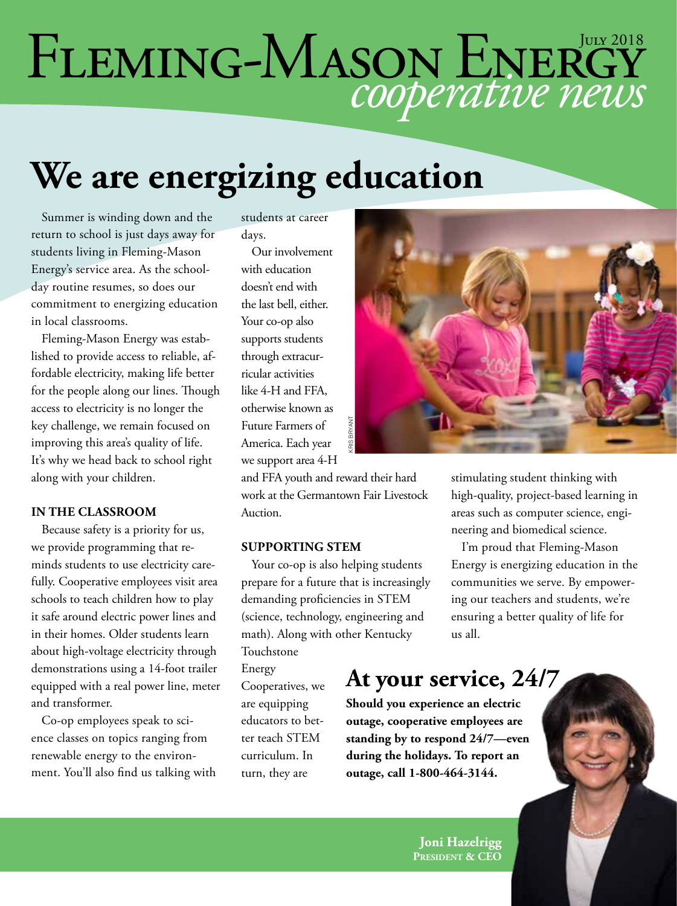# *cooperative news* FLEMING-MASON ENERGY

## **We are energizing education**

Summer is winding down and the return to school is just days away for students living in Fleming-Mason Energy's service area. As the schoolday routine resumes, so does our commitment to energizing education in local classrooms.

Fleming-Mason Energy was established to provide access to reliable, affordable electricity, making life better for the people along our lines. Though access to electricity is no longer the key challenge, we remain focused on improving this area's quality of life. It's why we head back to school right along with your children.

#### **IN THE CLASSROOM**

Because safety is a priority for us, we provide programming that reminds students to use electricity carefully. Cooperative employees visit area schools to teach children how to play it safe around electric power lines and in their homes. Older students learn about high-voltage electricity through demonstrations using a 14-foot trailer equipped with a real power line, meter and transformer.

Co-op employees speak to science classes on topics ranging from renewable energy to the environment. You'll also find us talking with students at career days.

Our involvement with education doesn't end with the last bell, either. Your co-op also supports students through extracurricular activities like 4-H and FFA, otherwise known as Future Farmers of America. Each year we support area 4-H

and FFA youth and reward their hard work at the Germantown Fair Livestock Auction.

#### **SUPPORTING STEM**

Your co-op is also helping students prepare for a future that is increasingly demanding proficiencies in STEM (science, technology, engineering and math). Along with other Kentucky Touchstone

Energy

Cooperatives, we are equipping educators to better teach STEM curriculum. In turn, they are



stimulating student thinking with high-quality, project-based learning in areas such as computer science, engineering and biomedical science.

I'm proud that Fleming-Mason Energy is energizing education in the communities we serve. By empowering our teachers and students, we're ensuring a better quality of life for us all.

#### **At your service, 24/7**

**Should you experience an electric outage, cooperative employees are standing by to respond 24/7—even during the holidays. To report an**  Example 11 and their hard stimulation<br>
ward their hard stimulation<br>
ward their hard stimulation<br>
neering a<br>
neering a<br>
EM I'm pro<br>
elping students Energy is<br>
ant is increasingly commun<br>
ries in STEM ing our tensuring<br>
engi

> **Joni Hazelrigg President & CEO**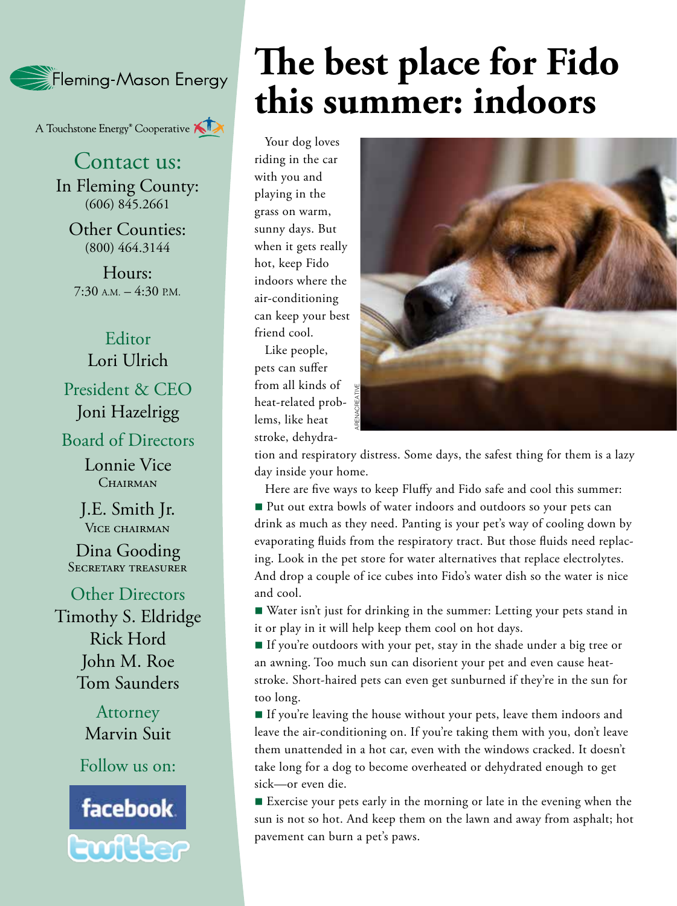

A Touchstone Energy<sup>®</sup> Cooperative

Contact us: In Fleming County: (606) 845.2661

Other Counties: (800) 464.3144

Hours: 7:30 A.M. – 4:30 P.M.

#### Editor Lori Ulrich

President & CEO Joni Hazelrigg

Board of Directors

Lonnie Vice CHAIRMAN

J.E. Smith Jr. VICE CHAIRMAN

Dina Gooding SECRETARY TREASURER

Other Directors Timothy S. Eldridge Rick Hord John M. Roe Tom Saunders

> **Attorney** Marvin Suit

Follow us on:



## **The best place for Fido this summer: indoors**

Your dog loves riding in the car with you and playing in the grass on warm, sunny days. But when it gets really hot, keep Fido indoors where the air-conditioning can keep your best friend cool.

Like people, pets can suffer from all kinds of heat-related problems, like heat stroke, dehydra-



tion and respiratory distress. Some days, the safest thing for them is a lazy day inside your home.

Here are five ways to keep Fluffy and Fido safe and cool this summer: ■ Put out extra bowls of water indoors and outdoors so your pets can drink as much as they need. Panting is your pet's way of cooling down by evaporating fluids from the respiratory tract. But those fluids need replacing. Look in the pet store for water alternatives that replace electrolytes. And drop a couple of ice cubes into Fido's water dish so the water is nice and cool. From all kinds of<br>
heat-related prob-<br>
lems, like heat<br>
stroke, dehydra-<br>
tion and respiratory distress. Sor<br>
day inside your home.<br>
Here are five ways to keep Flu<br>
<br> **Put out extra bowls of water i**<br>
drink as much as they

■ Water isn't just for drinking in the summer: Letting your pets stand in it or play in it will help keep them cool on hot days.

n If you're outdoors with your pet, stay in the shade under a big tree or an awning. Too much sun can disorient your pet and even cause heatstroke. Short-haired pets can even get sunburned if they're in the sun for too long.

If you're leaving the house without your pets, leave them indoors and leave the air-conditioning on. If you're taking them with you, don't leave them unattended in a hot car, even with the windows cracked. It doesn't take long for a dog to become overheated or dehydrated enough to get sick—or even die.

■ Exercise your pets early in the morning or late in the evening when the sun is not so hot. And keep them on the lawn and away from asphalt; hot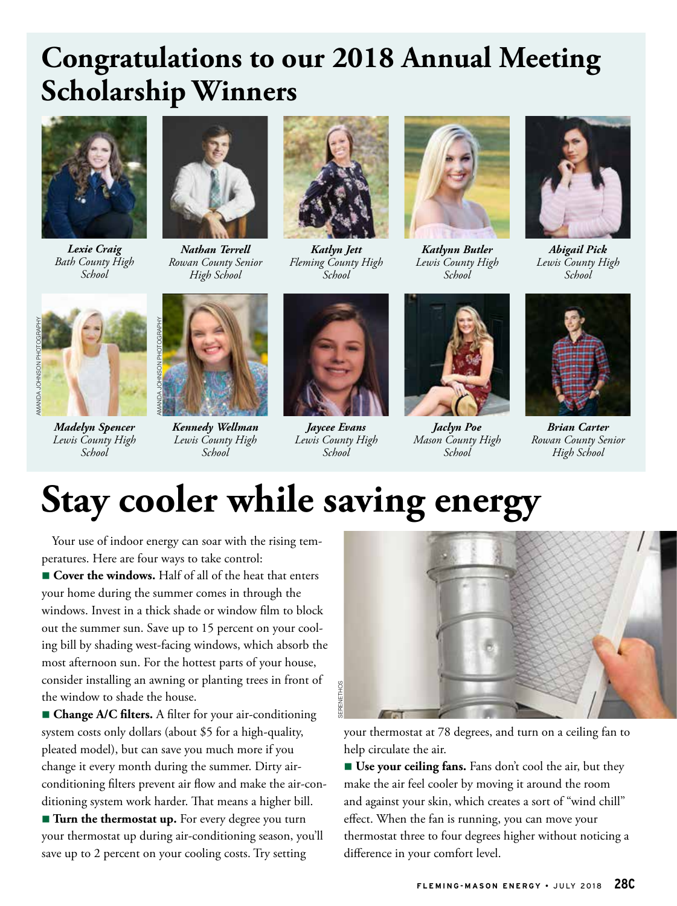### **Congratulations to our 2018 Annual Meeting Scholarship Winners**



*Lexie Craig Bath County High School*



*Nathan Terrell Rowan County Senior High School*



*Katlyn Jett Fleming County High School*



*Katlynn Butler Lewis County High School*



*Abigail Pick Lewis County High School*



*Madelyn Spencer Lewis County High School*



*Kennedy Wellman Lewis County High School*



*Jaycee Evans Lewis County High School*



*Jaclyn Poe Mason County High School*



*Brian Carter Rowan County Senior High School*

### **Stay cooler while saving energy**

Your use of indoor energy can soar with the rising temperatures. Here are four ways to take control:

■ Cover the windows. Half of all of the heat that enters your home during the summer comes in through the windows. Invest in a thick shade or window film to block out the summer sun. Save up to 15 percent on your cooling bill by shading west-facing windows, which absorb the most afternoon sun. For the hottest parts of your house, consider installing an awning or planting trees in front of the window to shade the house.

**n** Change A/C filters. A filter for your air-conditioning system costs only dollars (about \$5 for a high-quality, pleated model), but can save you much more if you change it every month during the summer. Dirty airconditioning filters prevent air flow and make the air-conditioning system work harder. That means a higher bill.

**Turn the thermostat up.** For every degree you turn your thermostat up during air-conditioning season, you'll save up to 2 percent on your cooling costs. Try setting



your thermostat at 78 degrees, and turn on a ceiling fan to help circulate the air.

■ Use your ceiling fans. Fans don't cool the air, but they make the air feel cooler by moving it around the room and against your skin, which creates a sort of "wind chill" effect. When the fan is running, you can move your thermostat three to four degrees higher without noticing a difference in your comfort level.